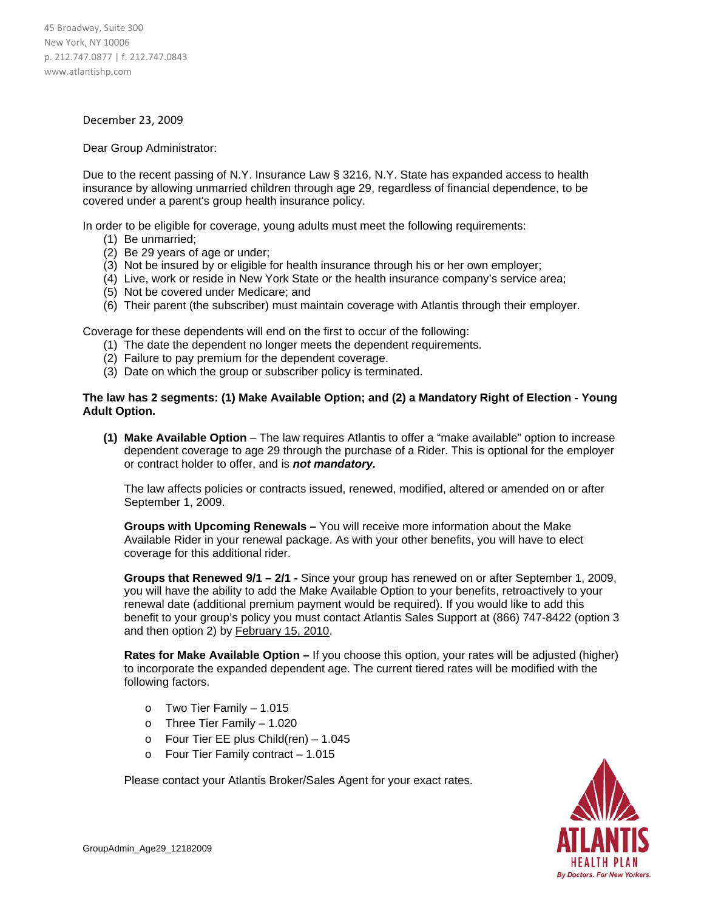## December 23, 2009

## Dear Group Administrator:

Due to the recent passing of N.Y. Insurance Law § 3216, N.Y. State has expanded access to health insurance by allowing unmarried children through age 29, regardless of financial dependence, to be covered under a parent's group health insurance policy.

In order to be eligible for coverage, young adults must meet the following requirements:

- (1) Be unmarried;
- (2) Be 29 years of age or under;
- (3) Not be insured by or eligible for health insurance through his or her own employer;
- (4) Live, work or reside in New York State or the health insurance company's service area;
- (5) Not be covered under Medicare; and
- (6) Their parent (the subscriber) must maintain coverage with Atlantis through their employer.

Coverage for these dependents will end on the first to occur of the following:

- (1) The date the dependent no longer meets the dependent requirements.
- (2) Failure to pay premium for the dependent coverage.
- (3) Date on which the group or subscriber policy is terminated.

## **The law has 2 segments: (1) Make Available Option; and (2) a Mandatory Right of Election - Young Adult Option.**

**(1) Make Available Option** – The law requires Atlantis to offer a "make available" option to increase dependent coverage to age 29 through the purchase of a Rider. This is optional for the employer or contract holder to offer, and is *not mandatory.* 

The law affects policies or contracts issued, renewed, modified, altered or amended on or after September 1, 2009.

**Groups with Upcoming Renewals –** You will receive more information about the Make Available Rider in your renewal package. As with your other benefits, you will have to elect coverage for this additional rider.

**Groups that Renewed 9/1 – 2/1 -** Since your group has renewed on or after September 1, 2009, you will have the ability to add the Make Available Option to your benefits, retroactively to your renewal date (additional premium payment would be required). If you would like to add this benefit to your group's policy you must contact Atlantis Sales Support at (866) 747-8422 (option 3 and then option 2) by February 15, 2010.

**Rates for Make Available Option –** If you choose this option, your rates will be adjusted (higher) to incorporate the expanded dependent age. The current tiered rates will be modified with the following factors.

- o Two Tier Family 1.015
- o Three Tier Family 1.020
- o Four Tier EE plus Child(ren) 1.045
- o Four Tier Family contract 1.015

Please contact your Atlantis Broker/Sales Agent for your exact rates.